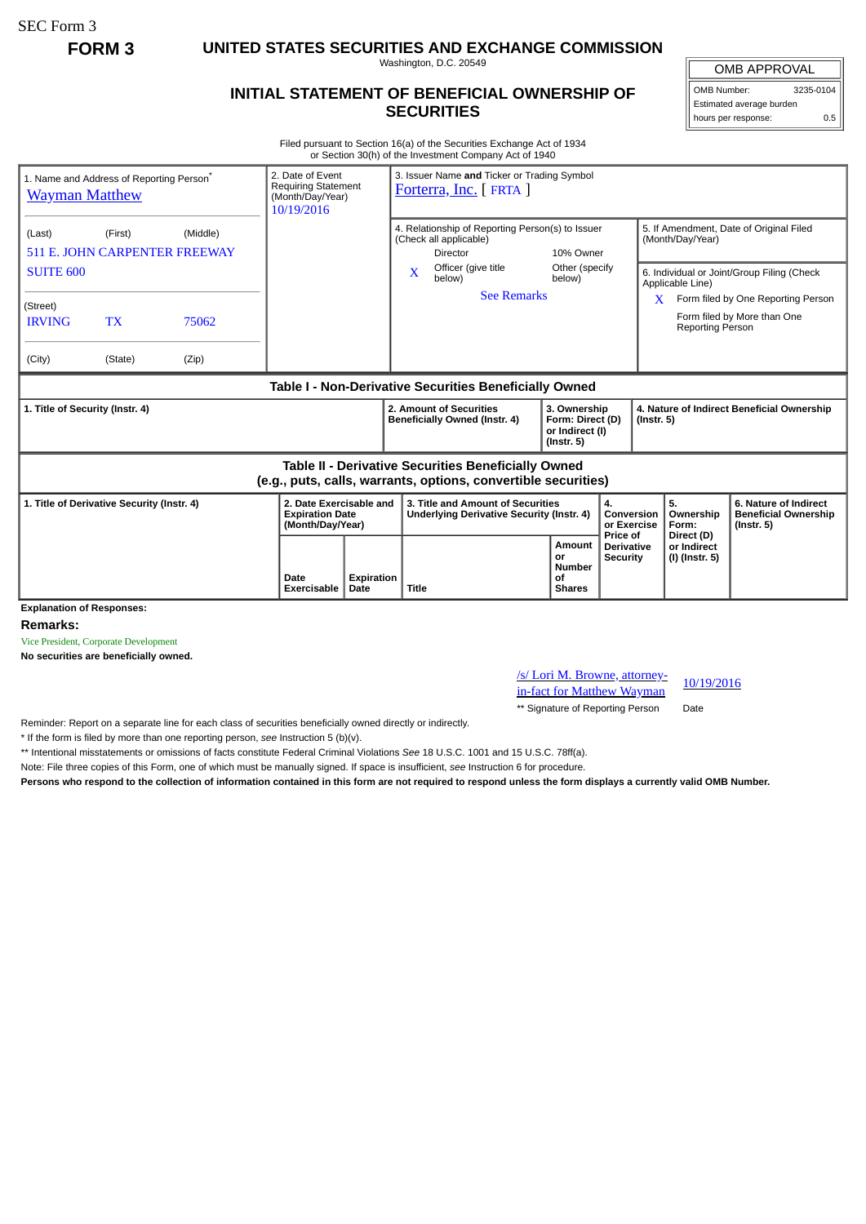SEC Form 3

**FORM 3 UNITED STATES SECURITIES AND EXCHANGE COMMISSION**

Washington, D.C. 20549

## **INITIAL STATEMENT OF BENEFICIAL OWNERSHIP OF SECURITIES**

OMB APPROVAL

OMB Number: 3235-0104 Estimated average burden hours per response: 0.5

Filed pursuant to Section 16(a) of the Securities Exchange Act of 1934 or Section 30(h) of the Investment Company Act of 1940

| 1. Name and Address of Reporting Person <sup>®</sup><br><b>Wayman Matthew</b>                                         |           |       | 2. Date of Event<br>3. Issuer Name and Ticker or Trading Symbol<br><b>Requiring Statement</b><br>Forterra, Inc. [FRTA ]<br>(Month/Day/Year)<br>10/19/2016 |                                                                                               |                                                                                |                                                                         |                                                             |                                                                |                                                                          |  |
|-----------------------------------------------------------------------------------------------------------------------|-----------|-------|-----------------------------------------------------------------------------------------------------------------------------------------------------------|-----------------------------------------------------------------------------------------------|--------------------------------------------------------------------------------|-------------------------------------------------------------------------|-------------------------------------------------------------|----------------------------------------------------------------|--------------------------------------------------------------------------|--|
| (Middle)<br>(Last)<br>(First)<br><b>511 E. JOHN CARPENTER FREEWAY</b>                                                 |           |       |                                                                                                                                                           | 4. Relationship of Reporting Person(s) to Issuer<br>(Check all applicable)<br><b>Director</b> | 10% Owner                                                                      |                                                                         | 5. If Amendment, Date of Original Filed<br>(Month/Day/Year) |                                                                |                                                                          |  |
| <b>SUITE 600</b>                                                                                                      |           |       |                                                                                                                                                           |                                                                                               | Officer (give title<br>$\mathbf x$<br>below)<br><b>See Remarks</b>             | Other (specify<br>below)                                                |                                                             | 6. Individual or Joint/Group Filing (Check<br>Applicable Line) |                                                                          |  |
| (Street)<br><b>IRVING</b>                                                                                             | <b>TX</b> | 75062 |                                                                                                                                                           |                                                                                               |                                                                                |                                                                         |                                                             | <b>Reporting Person</b>                                        | Form filed by One Reporting Person<br>Form filed by More than One        |  |
| (City)                                                                                                                | (State)   | (Zip) |                                                                                                                                                           |                                                                                               |                                                                                |                                                                         |                                                             |                                                                |                                                                          |  |
| Table I - Non-Derivative Securities Beneficially Owned                                                                |           |       |                                                                                                                                                           |                                                                                               |                                                                                |                                                                         |                                                             |                                                                |                                                                          |  |
| 1. Title of Security (Instr. 4)                                                                                       |           |       |                                                                                                                                                           |                                                                                               | 2. Amount of Securities<br>Beneficially Owned (Instr. 4)                       | 3. Ownership<br>Form: Direct (D)<br>or Indirect (I)<br>$($ Instr. 5 $)$ |                                                             | 4. Nature of Indirect Beneficial Ownership<br>$($ Instr. 5 $)$ |                                                                          |  |
| Table II - Derivative Securities Beneficially Owned<br>(e.g., puts, calls, warrants, options, convertible securities) |           |       |                                                                                                                                                           |                                                                                               |                                                                                |                                                                         |                                                             |                                                                |                                                                          |  |
| 1. Title of Derivative Security (Instr. 4)                                                                            |           |       | 2. Date Exercisable and<br><b>Expiration Date</b><br>(Month/Day/Year)                                                                                     |                                                                                               | 3. Title and Amount of Securities<br>Underlying Derivative Security (Instr. 4) | 4.<br>Conversion<br>or Exercise                                         |                                                             | 5.<br>Ownership<br>Form:                                       | 6. Nature of Indirect<br><b>Beneficial Ownership</b><br>$($ Instr. 5 $)$ |  |
|                                                                                                                       |           |       | Date<br><b>Exercisable</b>                                                                                                                                | <b>Expiration</b><br>Date                                                                     | <b>Title</b>                                                                   | Amount<br>or<br><b>Number</b><br>οf<br><b>Shares</b>                    | Price of<br>Derivative<br><b>Security</b>                   | Direct (D)<br>or Indirect<br>(I) (Instr. 5)                    |                                                                          |  |
| <b>Explanation of Responses:</b>                                                                                      |           |       |                                                                                                                                                           |                                                                                               |                                                                                |                                                                         |                                                             |                                                                |                                                                          |  |

**Remarks:**

Vice President, Corporate Development

**No securities are beneficially owned.**

/s/ Lori M. Browne, attorneyin-fact for Matthew Wayman

10/19/2016

\*\* Signature of Reporting Person Date

Reminder: Report on a separate line for each class of securities beneficially owned directly or indirectly.

\* If the form is filed by more than one reporting person, *see* Instruction 5 (b)(v).

\*\* Intentional misstatements or omissions of facts constitute Federal Criminal Violations *See* 18 U.S.C. 1001 and 15 U.S.C. 78ff(a).

Note: File three copies of this Form, one of which must be manually signed. If space is insufficient, *see* Instruction 6 for procedure.

**Persons who respond to the collection of information contained in this form are not required to respond unless the form displays a currently valid OMB Number.**